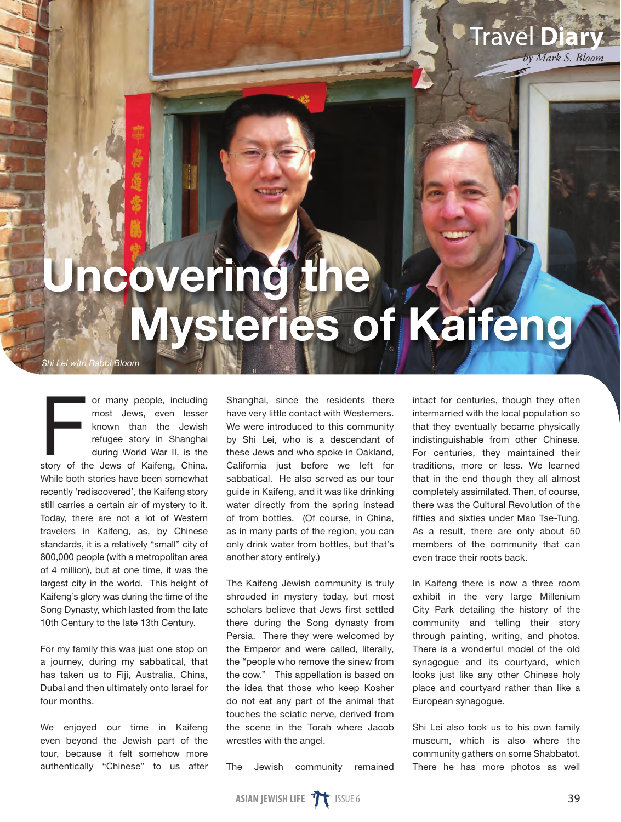## Uncovering the Mysteries of Kaifeng

*Shi Lei with Rabbi Bloom*

or many people, including<br>
most Jews, even lesser<br>
known than the Jewish<br>
refugee story in Shanghai<br>
during World War II, is the<br>
story of the Jews of Kaifeng, China. or many people, including most Jews, even lesser known than the Jewish refugee story in Shanghai during World War II, is the While both stories have been somewhat recently 'rediscovered', the Kaifeng story still carries a certain air of mystery to it. Today, there are not a lot of Western travelers in Kaifeng, as, by Chinese standards, it is a relatively "small" city of 800,000 people (with a metropolitan area of 4 million), but at one time, it was the largest city in the world. This height of Kaifeng's glory was during the time of the Song Dynasty, which lasted from the late 10th Century to the late 13th Century.

For my family this was just one stop on a journey, during my sabbatical, that has taken us to Fiji, Australia, China, Dubai and then ultimately onto Israel for four months.

We enjoyed our time in Kaifeng even beyond the Jewish part of the tour, because it felt somehow more authentically "Chinese" to us after Shanghai, since the residents there have very little contact with Westerners. We were introduced to this community by Shi Lei, who is a descendant of these Jews and who spoke in Oakland, California just before we left for sabbatical. He also served as our tour guide in Kaifeng, and it was like drinking water directly from the spring instead of from bottles. (Of course, in China, as in many parts of the region, you can only drink water from bottles, but that's another story entirely.)

The Kaifeng Jewish community is truly shrouded in mystery today, but most scholars believe that Jews first settled there during the Song dynasty from Persia. There they were welcomed by the Emperor and were called, literally, the "people who remove the sinew from the cow." This appellation is based on the idea that those who keep Kosher do not eat any part of the animal that touches the sciatic nerve, derived from the scene in the Torah where Jacob wrestles with the angel.

The Jewish community remained

intact for centuries, though they often intermarried with the local population so that they eventually became physically indistinguishable from other Chinese. For centuries, they maintained their traditions, more or less. We learned that in the end though they all almost completely assimilated. Then, of course, there was the Cultural Revolution of the fifties and sixties under Mao Tse-Tung. As a result, there are only about 50 members of the community that can even trace their roots back.

Travel **Diary**

*by Mark S. Bloom*

In Kaifeng there is now a three room exhibit in the very large Millenium City Park detailing the history of the community and telling their story through painting, writing, and photos. There is a wonderful model of the old synagogue and its courtyard, which looks just like any other Chinese holy place and courtyard rather than like a European synagogue.

Shi Lei also took us to his own family museum, which is also where the community gathers on some Shabbatot. There he has more photos as well